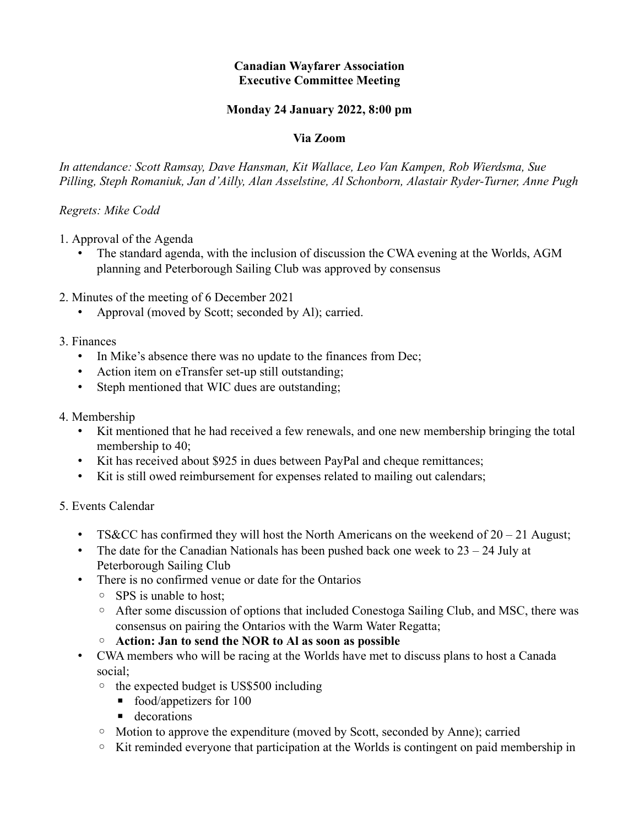# **Canadian Wayfarer Association Executive Committee Meeting**

# **Monday 24 January 2022, 8:00 pm**

#### **Via Zoom**

*In attendance: Scott Ramsay, Dave Hansman, Kit Wallace, Leo Van Kampen, Rob Wierdsma, Sue Pilling, Steph Romaniuk, Jan d'Ailly, Alan Asselstine, Al Schonborn, Alastair Ryder-Turner, Anne Pugh*

## *Regrets: Mike Codd*

- 1. Approval of the Agenda
	- The standard agenda, with the inclusion of discussion the CWA evening at the Worlds, AGM planning and Peterborough Sailing Club was approved by consensus
- 2. Minutes of the meeting of 6 December 2021
	- Approval (moved by Scott; seconded by Al); carried.
- 3. Finances
	- In Mike's absence there was no update to the finances from Dec;
	- Action item on eTransfer set-up still outstanding;
	- Steph mentioned that WIC dues are outstanding;
- 4. Membership
	- Kit mentioned that he had received a few renewals, and one new membership bringing the total membership to 40;
	- Kit has received about \$925 in dues between PayPal and cheque remittances;
	- Kit is still owed reimbursement for expenses related to mailing out calendars;

#### 5. Events Calendar

- TS&CC has confirmed they will host the North Americans on the weekend of  $20 21$  August;
- The date for the Canadian Nationals has been pushed back one week to  $23 24$  July at Peterborough Sailing Club
- There is no confirmed venue or date for the Ontarios
	- SPS is unable to host;
	- After some discussion of options that included Conestoga Sailing Club, and MSC, there was consensus on pairing the Ontarios with the Warm Water Regatta;
	- **Action: Jan to send the NOR to Al as soon as possible**
- CWA members who will be racing at the Worlds have met to discuss plans to host a Canada social;
	- the expected budget is US\$500 including
		- $\blacksquare$  food/appetizers for 100
		- **•** decorations
	- Motion to approve the expenditure (moved by Scott, seconded by Anne); carried
	- Kit reminded everyone that participation at the Worlds is contingent on paid membership in